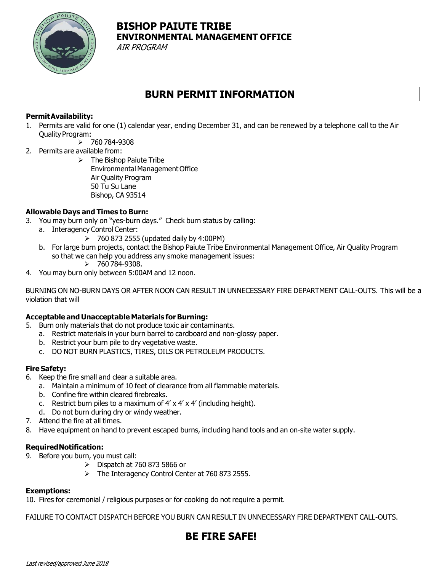

# **BISHOP PAIUTE TRIBE ENVIRONMENTAL MANAGEMENT OFFICE**

AIR PROGRAM

## **BURN PERMIT INFORMATION**

### **PermitAvailability:**

1. Permits are valid for one (1) calendar year, ending December 31, and can be renewed by a telephone call to the Air Quality Program:

➢ 760 784-9308

- 2. Permits are available from:
	- $\triangleright$  The Bishop Paiute Tribe Environmental Management Office Air Quality Program 50 Tu Su Lane Bishop, CA 93514

### **Allowable Days and Times to Burn:**

- 3. You may burn only on "yes-burn days." Check burn status by calling:
	- a. Interagency Control Center:
		- $\geq$  760 873 2555 (updated daily by 4:00PM)
	- b. For large burn projects, contact the Bishop Paiute Tribe Environmental Management Office, Air Quality Program so that we can help you address any smoke management issues:
		- ➢ 760 784-9308.
- 4. You may burn only between 5:00AM and 12 noon.

BURNING ON NO-BURN DAYS OR AFTER NOON CAN RESULT IN UNNECESSARY FIRE DEPARTMENT CALL-OUTS. This will be a violation that will

#### **Acceptable and Unacceptable Materials forBurning:**

- 5. Burn only materials that do not produce toxic air contaminants.
	- a. Restrict materials in your burn barrel to cardboard and non-glossy paper.
	- b. Restrict your burn pile to dry vegetative waste.
	- c. DO NOT BURN PLASTICS, TIRES, OILS OR PETROLEUM PRODUCTS.

#### **Fire Safety:**

- 6. Keep the fire small and clear a suitable area.
	- a. Maintain a minimum of 10 feet of clearance from all flammable materials.
	- b. Confine fire within cleared firebreaks.
	- c. Restrict burn piles to a maximum of  $4' \times 4' \times 4'$  (including height).
	- d. Do not burn during dry or windy weather.
- 7. Attend the fire at all times.
- 8. Have equipment on hand to prevent escaped burns, including hand tools and an on-site water supply.

#### **RequiredNotification:**

- 9. Before you burn, you must call:
	- ➢ Dispatch at 760 873 5866 or
		- ➢ The Interagency Control Center at 760 873 2555.

#### **Exemptions:**

10. Fires for ceremonial / religious purposes or for cooking do not require a permit.

FAILURE TO CONTACT DISPATCH BEFORE YOU BURN CAN RESULT IN UNNECESSARY FIRE DEPARTMENT CALL-OUTS.

## **BE FIRE SAFE!**